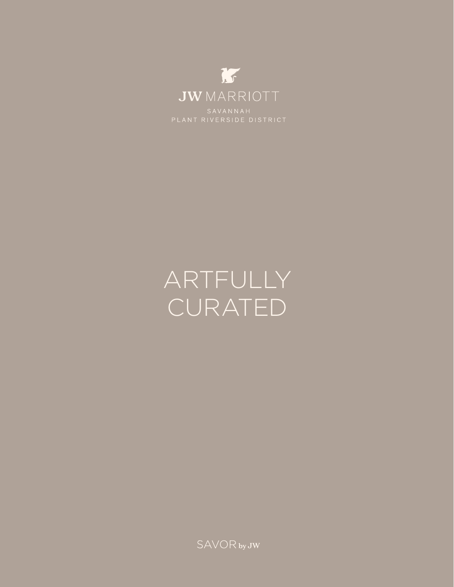

# ARTFULLY CURATED

**SAVOR** by JW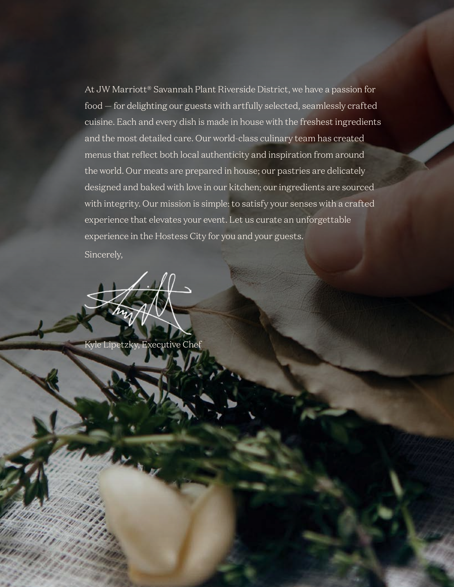At JW Marriott® Savannah Plant Riverside District, we have a passion for food — for delighting our guests with artfully selected, seamlessly crafted cuisine. Each and every dish is made in house with the freshest ingredients and the most detailed care. Our world-class culinary team has created menus that reflect both local authenticity and inspiration from around the world. Our meats are prepared in house; our pastries are delicately designed and baked with love in our kitchen; our ingredients are sourced with integrity. Our mission is simple: to satisfy your senses with a crafted experience that elevates your event. Let us curate an unforgettable experience in the Hostess City for you and your guests.

Sincerely,

Kyle Lipetzky, Executive Chef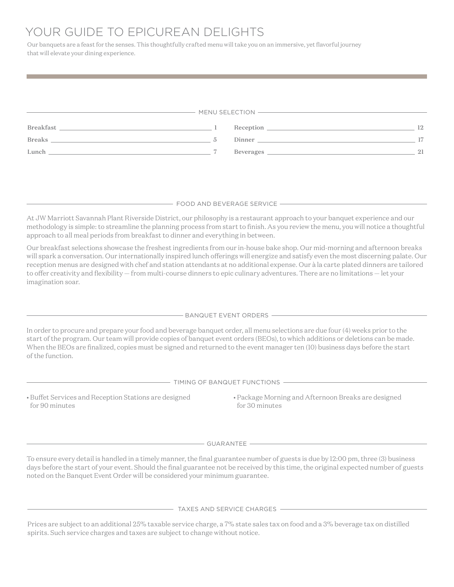# YOUR GUIDE TO EPICUREAN DELIGHTS

Our banquets are a feast for the senses. This thoughtfully crafted menu will take you on an immersive, yet flavorful journey that will elevate your dining experience.

|                                                                                       | MENU SELECTION                                                                                                                                                                                                                                                                                                                                                                                                                                                                                                                                   |    |
|---------------------------------------------------------------------------------------|--------------------------------------------------------------------------------------------------------------------------------------------------------------------------------------------------------------------------------------------------------------------------------------------------------------------------------------------------------------------------------------------------------------------------------------------------------------------------------------------------------------------------------------------------|----|
|                                                                                       |                                                                                                                                                                                                                                                                                                                                                                                                                                                                                                                                                  |    |
|                                                                                       | Reception 12                                                                                                                                                                                                                                                                                                                                                                                                                                                                                                                                     |    |
| $\text{Breaks} \hspace{2.5cm} \underline{\hspace{2.5cm}} \hspace{2.5cm} 5$<br>Lunch 7 | Dinner 17                                                                                                                                                                                                                                                                                                                                                                                                                                                                                                                                        | 21 |
|                                                                                       |                                                                                                                                                                                                                                                                                                                                                                                                                                                                                                                                                  |    |
|                                                                                       | - FOOD AND BEVERAGE SERVICE —————                                                                                                                                                                                                                                                                                                                                                                                                                                                                                                                |    |
| approach to all meal periods from breakfast to dinner and everything in between.      | At JW Marriott Savannah Plant Riverside District, our philosophy is a restaurant approach to your banquet experience and our<br>methodology is simple: to streamline the planning process from start to finish. As you review the menu, you will notice a thoughtful                                                                                                                                                                                                                                                                             |    |
| imagination soar.                                                                     | Our breakfast selections showcase the freshest ingredients from our in-house bake shop. Our mid-morning and afternoon breaks<br>will spark a conversation. Our internationally inspired lunch offerings will energize and satisfy even the most discerning palate. Our<br>reception menus are designed with chef and station attendants at no additional expense. Our à la carte plated dinners are tailored<br>to offer creativity and flexibility - from multi-course dinners to epic culinary adventures. There are no limitations - let your |    |
|                                                                                       | BANQUET EVENT ORDERS ——————                                                                                                                                                                                                                                                                                                                                                                                                                                                                                                                      |    |
| of the function.                                                                      | In order to procure and prepare your food and beverage banquet order, all menu selections are due four (4) weeks prior to the<br>start of the program. Our team will provide copies of banquet event orders (BEOs), to which additions or deletions can be made.<br>When the BEOs are finalized, copies must be signed and returned to the event manager ten (10) business days before the start                                                                                                                                                 |    |
|                                                                                       | TIMING OF BANQUET FUNCTIONS <b>CONSTRUSTED AND THE EXAMPLE THE SET OF BAN</b>                                                                                                                                                                                                                                                                                                                                                                                                                                                                    |    |
| • Buffet Services and Reception Stations are designed<br>for 90 minutes               | • Package Morning and Afternoon Breaks are designed<br>for 30 minutes                                                                                                                                                                                                                                                                                                                                                                                                                                                                            |    |
|                                                                                       | GUARANTEE                                                                                                                                                                                                                                                                                                                                                                                                                                                                                                                                        |    |
| noted on the Banquet Event Order will be considered your minimum guarantee.           | To ensure every detail is handled in a timely manner, the final guarantee number of guests is due by 12:00 pm, three (3) business<br>days before the start of your event. Should the final guarantee not be received by this time, the original expected number of guests                                                                                                                                                                                                                                                                        |    |

 $-$  TAXES AND SERVICE CHARGES  $-$ 

Prices are subject to an additional 25% taxable service charge, a 7% state sales tax on food and a 3% beverage tax on distilled spirits. Such service charges and taxes are subject to change without notice.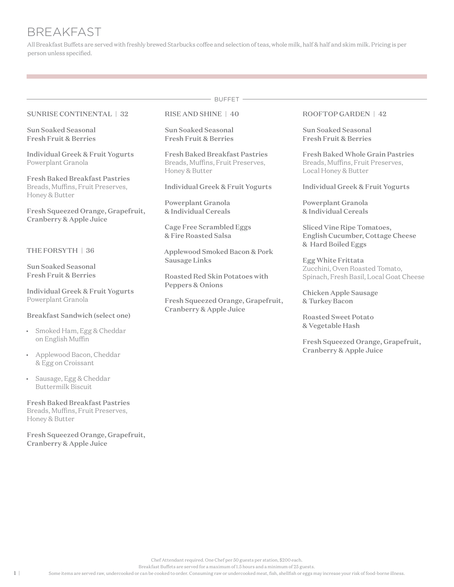# BREAKFAST

All Breakfast Buffets are served with freshly brewed Starbucks coffee and selection of teas, whole milk, half & half and skim milk. Pricing is per person unless specified.

- BUFFET -

#### SUNRISE CONTINENTAL | 32

Sun Soaked Seasonal Fresh Fruit & Berries

Individual Greek & Fruit Yogurts Powerplant Granola

Fresh Baked Breakfast Pastries Breads, Muffins, Fruit Preserves, Honey & Butter

Fresh Squeezed Orange, Grapefruit, Cranberry & Apple Juice

#### THE FORSYTH | 36

Sun Soaked Seasonal Fresh Fruit & Berries

Individual Greek & Fruit Yogurts Powerplant Granola

Breakfast Sandwich (select one)

- Smoked Ham, Egg & Cheddar on English Muffin
- Applewood Bacon, Cheddar & Egg on Croissant
- Sausage, Egg & Cheddar Buttermilk Biscuit

Fresh Baked Breakfast Pastries Breads, Muffins, Fruit Preserves, Honey & Butter

Fresh Squeezed Orange, Grapefruit, Cranberry & Apple Juice

#### RISE AND SHINE | 40

Sun Soaked Seasonal Fresh Fruit & Berries

Fresh Baked Breakfast Pastries Breads, Muffins, Fruit Preserves, Honey & Butter

Individual Greek & Fruit Yogurts

Powerplant Granola & Individual Cereals

Cage Free Scrambled Eggs & Fire Roasted Salsa

Applewood Smoked Bacon & Pork Sausage Links

Roasted Red Skin Potatoes with Peppers & Onions

Fresh Squeezed Orange, Grapefruit, Cranberry & Apple Juice

#### ROOFTOP GARDEN | 42

Sun Soaked Seasonal Fresh Fruit & Berries

Fresh Baked Whole Grain Pastries Breads, Muffins, Fruit Preserves, Local Honey & Butter

Individual Greek & Fruit Yogurts

Powerplant Granola & Individual Cereals

Sliced Vine Ripe Tomatoes, English Cucumber, Cottage Cheese & Hard Boiled Eggs

Egg White Frittata Zucchini, Oven Roasted Tomato, Spinach, Fresh Basil, Local Goat Cheese

Chicken Apple Sausage & Turkey Bacon

Roasted Sweet Potato & Vegetable Hash

Fresh Squeezed Orange, Grapefruit, Cranberry & Apple Juice

Chef Attendant required. One Chef per 50 guests per station, \$200 each.

Breakfast Buffets are served for a maximum of 1.5 hours and a minimum of 25 guests.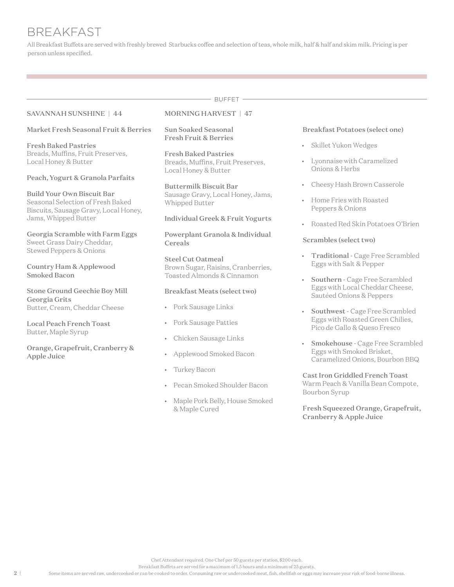# BREAKFAST

All Breakfast Buffets are served with freshly brewed Starbucks coffee and selection of teas, whole milk, half & half and skim milk. Pricing is per person unless specified.

- BUFFET -

#### SAVANNAH SUNSHINE | 44

#### Market Fresh Seasonal Fruit & Berries

Fresh Baked Pastries Breads, Muffins, Fruit Preserves, Local Honey & Butter

#### Peach, Yogurt & Granola Parfaits

Build Your Own Biscuit Bar Seasonal Selection of Fresh Baked Biscuits, Sausage Gravy, Local Honey, Jams, Whipped Butter

Georgia Scramble with Farm Eggs Sweet Grass Dairy Cheddar, Stewed Peppers & Onions

Country Ham & Applewood Smoked Bacon

Stone Ground Geechie Boy Mill Georgia Grits Butter, Cream, Cheddar Cheese

Local Peach French Toast Butter, Maple Syrup

Orange, Grapefruit, Cranberry & Apple Juice

#### MORNING HARVEST | 47

Sun Soaked Seasonal Fresh Fruit & Berries

Fresh Baked Pastries Breads, Muffins, Fruit Preserves, Local Honey & Butter

Buttermilk Biscuit Bar Sausage Gravy, Local Honey, Jams, Whipped Butter

#### Individual Greek & Fruit Yogurts

Powerplant Granola & Individual Cereals

Steel Cut Oatmeal Brown Sugar, Raisins, Cranberries, Toasted Almonds & Cinnamon

#### Breakfast Meats (select two)

- Pork Sausage Links
- Pork Sausage Patties
- Chicken Sausage Links
- Applewood Smoked Bacon
- Turkey Bacon
- Pecan Smoked Shoulder Bacon
- Maple Pork Belly, House Smoked & Maple Cured

#### Breakfast Potatoes (select one)

- Skillet Yukon Wedges
- Lyonnaise with Caramelized Onions & Herbs
- Cheesy Hash Brown Casserole
- Home Fries with Roasted Peppers & Onions
- Roasted Red Skin Potatoes O'Brien

#### Scrambles (select two)

- Traditional Cage Free Scrambled Eggs with Salt & Pepper
- Southern Cage Free Scrambled Eggs with Local Cheddar Cheese, Sautéed Onions & Peppers
- Southwest Cage Free Scrambled Eggs with Roasted Green Chilies, Pico de Gallo & Queso Fresco
- Smokehouse Cage Free Scrambled Eggs with Smoked Brisket, Caramelized Onions, Bourbon BBQ

Cast Iron Griddled French Toast Warm Peach & Vanilla Bean Compote, Bourbon Syrup

Fresh Squeezed Orange, Grapefruit, Cranberry & Apple Juice

Breakfast Buffets are served for a maximum of 1.5 hours and a minimum of 25 guests.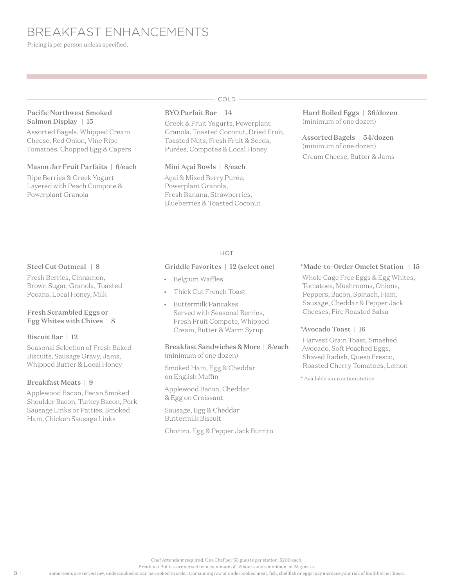BREAKFAST ENHANCEMENTS

Pricing is per person unless specified.

#### Pacific Northwest Smoked Salmon Display | 15

Assorted Bagels, Whipped Cream Cheese, Red Onion, Vine Ripe Tomatoes, Chopped Egg & Capers

#### Mason Jar Fruit Parfaits | 6/each

Ripe Berries & Greek Yogurt Layered with Peach Compote & Powerplant Granola

# COLD

# BYO Parfait Bar | 14

Greek & Fruit Yogurts, Powerplant Granola, Toasted Coconut, Dried Fruit, Toasted Nuts, Fresh Fruit & Seeds, Purées, Compotes & Local Honey

#### Mini Açai Bowls | 8/each

Açai & Mixed Berry Purée, Powerplant Granola, Fresh Banana, Strawberries, Blueberries & Toasted Coconut Hard Boiled Eggs | 36/dozen (minimum of one dozen)

Assorted Bagels | 54/dozen (minimum of one dozen) Cream Cheese, Butter & Jams

#### Steel Cut Oatmeal | 8

Fresh Berries, Cinnamon, Brown Sugar, Granola, Toasted Pecans, Local Honey, Milk

#### Fresh Scrambled Eggs or Egg Whites with Chives | 8

#### Biscuit Bar | 12

Seasonal Selection of Fresh Baked Biscuits, Sausage Gravy, Jams, Whipped Butter & Local Honey

#### Breakfast Meats | 9

Applewood Bacon, Pecan Smoked Shoulder Bacon, Turkey Bacon, Pork Sausage Links or Patties, Smoked Ham, Chicken Sausage Links

# $-HOT =$

#### Griddle Favorites | 12 (select one)

- Belgium Waffles
- Thick Cut French Toast
- Buttermilk Pancakes Served with Seasonal Berries, Fresh Fruit Compote, Whipped Cream, Butter & Warm Syrup

Breakfast Sandwiches & More | 8/each (minimum of one dozen)

Smoked Ham, Egg & Cheddar on English Muffin

Applewood Bacon, Cheddar & Egg on Croissant

Sausage, Egg & Cheddar Buttermilk Biscuit

Chorizo, Egg & Pepper Jack Burrito

#### \*Made-to-Order Omelet Station | 15

Whole Cage Free Eggs & Egg Whites, Tomatoes, Mushrooms, Onions, Peppers, Bacon, Spinach, Ham, Sausage, Cheddar & Pepper Jack Cheeses, Fire Roasted Salsa

#### \*Avocado Toast | 16

Harvest Grain Toast, Smashed Avocado, Soft Poached Eggs, Shaved Radish, Queso Fresco, Roasted Cherry Tomatoes, Lemon

\* Available as an action station

Chef Attendant required. One Chef per 50 guests per station, \$200 each.

Breakfast Buffets are served for a maximum of 1.5 hours and a minimum of 25 guests.

Some items are served raw, undercooked or can be cooked to order. Consuming raw or undercooked meat, fish, shellfish or eggs may increase your risk of food-borne illness.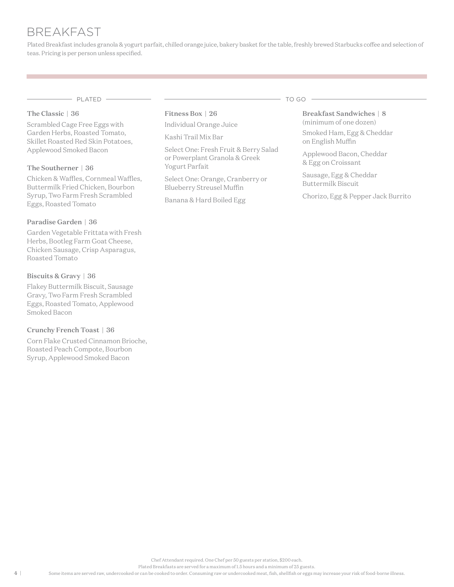# BREAKFAST

Plated Breakfast includes granola & yogurt parfait, chilled orange juice, bakery basket for the table, freshly brewed Starbucks coffee and selection of teas. Pricing is per person unless specified.

PLATED TO GO

#### The Classic | 36

Scrambled Cage Free Eggs with Garden Herbs, Roasted Tomato, Skillet Roasted Red Skin Potatoes, Applewood Smoked Bacon

#### The Southerner | 36

Chicken & Waffles, Cornmeal Waffles, Buttermilk Fried Chicken, Bourbon Syrup, Two Farm Fresh Scrambled Eggs, Roasted Tomato

#### Paradise Garden | 36

Garden Vegetable Frittata with Fresh Herbs, Bootleg Farm Goat Cheese, Chicken Sausage, Crisp Asparagus, Roasted Tomato

#### Biscuits & Gravy | 36

Flakey Buttermilk Biscuit, Sausage Gravy, Two Farm Fresh Scrambled Eggs, Roasted Tomato, Applewood Smoked Bacon

#### Crunchy French Toast | 36

Corn Flake Crusted Cinnamon Brioche, Roasted Peach Compote, Bourbon Syrup, Applewood Smoked Bacon

Fitness Box | 26 Individual Orange Juice

Kashi Trail Mix Bar

Select One: Fresh Fruit & Berry Salad or Powerplant Granola & Greek Yogurt Parfait

Select One: Orange, Cranberry or Blueberry Streusel Muffin

Banana & Hard Boiled Egg

Breakfast Sandwiches | 8 (minimum of one dozen)

Smoked Ham, Egg & Cheddar on English Muffin

Applewood Bacon, Cheddar & Egg on Croissant

Sausage, Egg & Cheddar Buttermilk Biscuit

Chorizo, Egg & Pepper Jack Burrito

Chef Attendant required. One Chef per 50 guests per station, \$200 each.

Plated Breakfasts are served for a maximum of 1.5 hours and a minimum of 25 guests.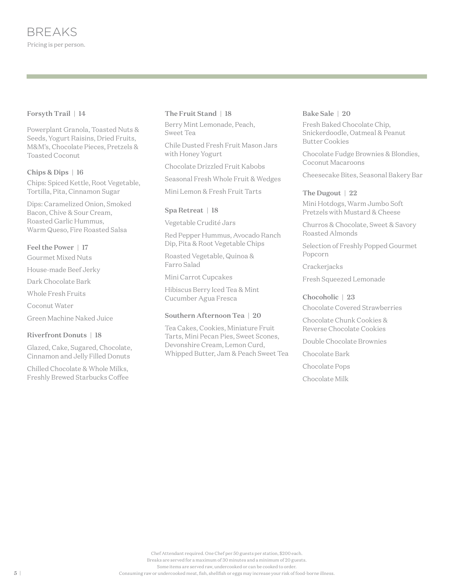#### Forsyth Trail | 14

Powerplant Granola, Toasted Nuts & Seeds, Yogurt Raisins, Dried Fruits, M&M's, Chocolate Pieces, Pretzels & Toasted Coconut

#### Chips & Dips | 16

Chips: Spiced Kettle, Root Vegetable, Tortilla, Pita, Cinnamon Sugar

Dips: Caramelized Onion, Smoked Bacon, Chive & Sour Cream, Roasted Garlic Hummus, Warm Queso, Fire Roasted Salsa

#### Feel the Power | 17

Gourmet Mixed Nuts

House-made Beef Jerky

Dark Chocolate Bark

Whole Fresh Fruits

Coconut Water

Green Machine Naked Juice

#### Riverfront Donuts | 18

Glazed, Cake, Sugared, Chocolate, Cinnamon and Jelly Filled Donuts

Chilled Chocolate & Whole Milks, Freshly Brewed Starbucks Coffee

#### The Fruit Stand | 18

Berry Mint Lemonade, Peach, Sweet Tea

Chile Dusted Fresh Fruit Mason Jars with Honey Yogurt

Chocolate Drizzled Fruit Kabobs

Seasonal Fresh Whole Fruit & Wedges

Mini Lemon & Fresh Fruit Tarts

#### Spa Retreat | 18

Vegetable Crudité Jars

Red Pepper Hummus, Avocado Ranch Dip, Pita & Root Vegetable Chips

Roasted Vegetable, Quinoa & Farro Salad

Mini Carrot Cupcakes

Hibiscus Berry Iced Tea & Mint Cucumber Agua Fresca

#### Southern Afternoon Tea | 20

Tea Cakes, Cookies, Miniature Fruit Tarts, Mini Pecan Pies, Sweet Scones, Devonshire Cream, Lemon Curd, Whipped Butter, Jam & Peach Sweet Tea

#### Bake Sale | 20

Fresh Baked Chocolate Chip, Snickerdoodle, Oatmeal & Peanut Butter Cookies

Chocolate Fudge Brownies & Blondies, Coconut Macaroons

Cheesecake Bites, Seasonal Bakery Bar

The Dugout | 22 Mini Hotdogs, Warm Jumbo Soft Pretzels with Mustard & Cheese

Churros & Chocolate, Sweet & Savory Roasted Almonds

Selection of Freshly Popped Gourmet Popcorn

**Crackerjacks** 

Fresh Squeezed Lemonade

Chocoholic | 23

Chocolate Covered Strawberries

Chocolate Chunk Cookies & Reverse Chocolate Cookies

Double Chocolate Brownies

Chocolate Bark

Chocolate Pops

Chocolate Milk

Chef Attendant required. One Chef per 50 guests per station, \$200 each. Breaks are served for a maximum of 30 minutes and a minimum of 20 guests. Some items are served raw, undercooked or can be cooked to order. Consuming raw or undercooked meat, fish, shellfish or eggs may increase your risk of food-borne illness.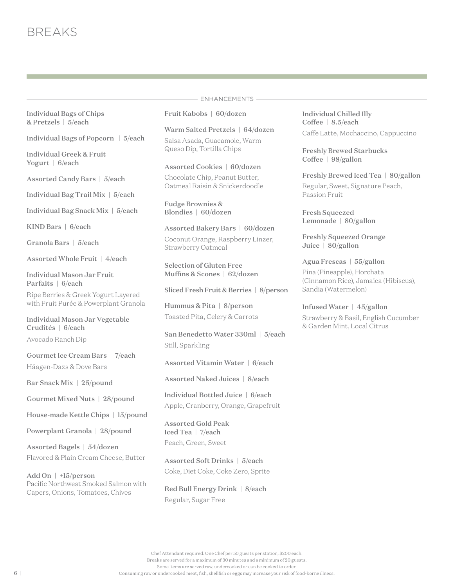Individual Bags of Chips & Pretzels | 5/each

Individual Bags of Popcorn | 5/each

Individual Greek & Fruit Yogurt | 6/each

Assorted Candy Bars | 5/each

Individual Bag Trail Mix | 5/each

Individual Bag Snack Mix | 5/each

KIND Bars | 6/each

Granola Bars | 5/each

Assorted Whole Fruit | 4/each

Individual Mason Jar Fruit Parfaits | 6/each

Ripe Berries & Greek Yogurt Layered with Fruit Purée & Powerplant Granola

Individual Mason Jar Vegetable Crudités | 6/each

Avocado Ranch Dip

Gourmet Ice Cream Bars | 7/each Häagen-Dazs & Dove Bars

Bar Snack Mix | 25/pound

Gourmet Mixed Nuts | 28/pound

House-made Kettle Chips | 15/pound

Powerplant Granola | 28/pound

Assorted Bagels | 54/dozen Flavored & Plain Cream Cheese, Butter

Add On | +15/person Pacific Northwest Smoked Salmon with Capers, Onions, Tomatoes, Chives

# ENHANCEMENTS

Fruit Kabobs | 60/dozen

Queso Dip, Tortilla Chips

Warm Salted Pretzels | 64/dozen Salsa Asada, Guacamole, Warm

Assorted Cookies | 60/dozen Chocolate Chip, Peanut Butter, Oatmeal Raisin & Snickerdoodle

Fudge Brownies & Blondies | 60/dozen

Assorted Bakery Bars | 60/dozen Coconut Orange, Raspberry Linzer, Strawberry Oatmeal

Selection of Gluten Free Muffins & Scones | 62/dozen

Sliced Fresh Fruit & Berries | 8/person

Hummus & Pita | 8/person Toasted Pita, Celery & Carrots

San Benedetto Water 330ml | 5/each Still, Sparkling

Assorted Vitamin Water | 6/each

Assorted Naked Juices | 8/each

Individual Bottled Juice | 6/each Apple, Cranberry, Orange, Grapefruit

Assorted Gold Peak Iced Tea | 7/each Peach, Green, Sweet

Assorted Soft Drinks | 5/each Coke, Diet Coke, Coke Zero, Sprite

Red Bull Energy Drink | 8/each Regular, Sugar Free

Individual Chilled Illy Coffee | 8.5/each Caffe Latte, Mochaccino, Cappuccino

Freshly Brewed Starbucks Coffee | 98/gallon

Freshly Brewed Iced Tea | 80/gallon Regular, Sweet, Signature Peach, Passion Fruit

Fresh Squeezed Lemonade | 80/gallon

Freshly Squeezed Orange Juice | 80/gallon

Agua Frescas | 55/gallon Pina (Pineapple), Horchata (Cinnamon Rice), Jamaica (Hibiscus), Sandia (Watermelon)

Infused Water | 45/gallon Strawberry & Basil, English Cucumber & Garden Mint, Local Citrus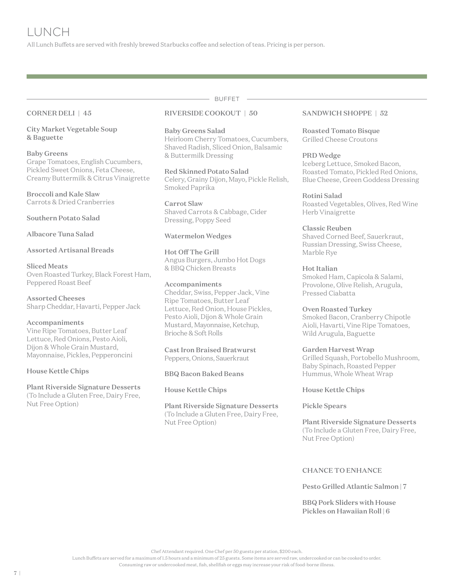All Lunch Buffets are served with freshly brewed Starbucks coffee and selection of teas. Pricing is per person.

#### CORNER DELI | 45

City Market Vegetable Soup & Baguette

#### Baby Greens

Grape Tomatoes, English Cucumbers, Pickled Sweet Onions, Feta Cheese, Creamy Buttermilk & Citrus Vinaigrette

Broccoli and Kale Slaw Carrots & Dried Cranberries

Southern Potato Salad

Albacore Tuna Salad

#### Assorted Artisanal Breads

#### Sliced Meats

Oven Roasted Turkey, Black Forest Ham, Peppered Roast Beef

Assorted Cheeses Sharp Cheddar, Havarti, Pepper Jack

#### Accompaniments

Vine Ripe Tomatoes, Butter Leaf Lettuce, Red Onions, Pesto Aioli, Dijon & Whole Grain Mustard, Mayonnaise, Pickles, Pepperoncini

#### House Kettle Chips

Plant Riverside Signature Desserts (To Include a Gluten Free, Dairy Free, Nut Free Option)

# RIVERSIDE COOKOUT | 50

#### Baby Greens Salad Heirloom Cherry Tomatoes, Cucumbers,

Shaved Radish, Sliced Onion, Balsamic & Buttermilk Dressing

BUFFET

Red Skinned Potato Salad Celery, Grainy Dijon, Mayo, Pickle Relish, Smoked Paprika

Carrot Slaw Shaved Carrots & Cabbage, Cider Dressing, Poppy Seed

#### Watermelon Wedges

Hot Off The Grill Angus Burgers, Jumbo Hot Dogs & BBQ Chicken Breasts

#### Accompaniments

Cheddar, Swiss, Pepper Jack, Vine Ripe Tomatoes, Butter Leaf Lettuce, Red Onion, House Pickles, Pesto Aioli, Dijon & Whole Grain Mustard, Mayonnaise, Ketchup, Brioche & Soft Rolls

Cast Iron Braised Bratwurst Peppers, Onions, Sauerkraut

BBQ Bacon Baked Beans

#### House Kettle Chips

Plant Riverside Signature Desserts (To Include a Gluten Free, Dairy Free, Nut Free Option)

#### SANDWICH SHOPPE | 52

Roasted Tomato Bisque Grilled Cheese Croutons

#### PRD Wedge

Iceberg Lettuce, Smoked Bacon, Roasted Tomato, Pickled Red Onions, Blue Cheese, Green Goddess Dressing

### Rotini Salad

Roasted Vegetables, Olives, Red Wine Herb Vinaigrette

#### Classic Reuben

Shaved Corned Beef, Sauerkraut, Russian Dressing, Swiss Cheese, Marble Rye

#### Hot Italian

Smoked Ham, Capicola & Salami, Provolone, Olive Relish, Arugula, Pressed Ciabatta

#### Oven Roasted Turkey

Smoked Bacon, Cranberry Chipotle Aioli, Havarti, Vine Ripe Tomatoes, Wild Arugula, Baguette

#### Garden Harvest Wrap

Grilled Squash, Portobello Mushroom, Baby Spinach, Roasted Pepper Hummus, Whole Wheat Wrap

#### House Kettle Chips

#### Pickle Spears

Plant Riverside Signature Desserts (To Include a Gluten Free, Dairy Free, Nut Free Option)

### CHANCE TO ENHANCE

Pesto Grilled Atlantic Salmon | 7

BBQ Pork Sliders with House Pickles on Hawaiian Roll | 6

Chef Attendant required. One Chef per 50 guests per station, \$200 each.

Lunch Buffets are served for a maximum of 1.5 hours and a minimum of 25 guests. Some items are served raw, undercooked or can be cooked to order.

Consuming raw or undercooked meat, fish, shellfish or eggs may increase your risk of food-borne illness.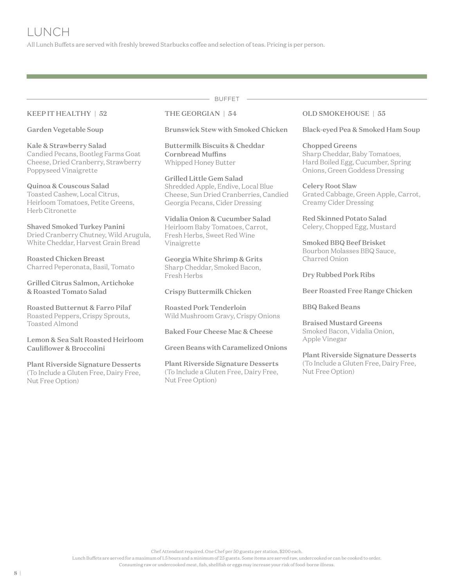All Lunch Buffets are served with freshly brewed Starbucks coffee and selection of teas. Pricing is per person.

#### KEEP IT HEALTHY | 52

Garden Vegetable Soup

Kale & Strawberry Salad Candied Pecans, Bootleg Farms Goat Cheese, Dried Cranberry, Strawberry Poppyseed Vinaigrette

Quinoa & Couscous Salad Toasted Cashew, Local Citrus, Heirloom Tomatoes, Petite Greens, Herb Citronette

Shaved Smoked Turkey Panini Dried Cranberry Chutney, Wild Arugula, White Cheddar, Harvest Grain Bread

Roasted Chicken Breast Charred Peperonata, Basil, Tomato

Grilled Citrus Salmon, Artichoke & Roasted Tomato Salad

Roasted Butternut & Farro Pilaf Roasted Peppers, Crispy Sprouts, Toasted Almond

Lemon & Sea Salt Roasted Heirloom Cauliflower & Broccolini

Plant Riverside Signature Desserts (To Include a Gluten Free, Dairy Free, Nut Free Option)

THE GEORGIAN | 54

Brunswick Stew with Smoked Chicken

BUFFET

Buttermilk Biscuits & Cheddar Cornbread Muffins Whipped Honey Butter

Grilled Little Gem Salad Shredded Apple, Endive, Local Blue Cheese, Sun Dried Cranberries, Candied Georgia Pecans, Cider Dressing

Vidalia Onion & Cucumber Salad Heirloom Baby Tomatoes, Carrot, Fresh Herbs, Sweet Red Wine Vinaigrette

Georgia White Shrimp & Grits Sharp Cheddar, Smoked Bacon, Fresh Herbs

Crispy Buttermilk Chicken

Roasted Pork Tenderloin Wild Mushroom Gravy, Crispy Onions

Baked Four Cheese Mac & Cheese

Green Beans with Caramelized Onions

Plant Riverside Signature Desserts (To Include a Gluten Free, Dairy Free, Nut Free Option)

#### OLD SMOKEHOUSE | 55

Black-eyed Pea & Smoked Ham Soup

Chopped Greens Sharp Cheddar, Baby Tomatoes, Hard Boiled Egg, Cucumber, Spring Onions, Green Goddess Dressing

Celery Root Slaw Grated Cabbage, Green Apple, Carrot, Creamy Cider Dressing

Red Skinned Potato Salad Celery, Chopped Egg, Mustard

Smoked BBQ Beef Brisket Bourbon Molasses BBQ Sauce, Charred Onion

Dry Rubbed Pork Ribs

Beer Roasted Free Range Chicken

BBQ Baked Beans

Braised Mustard Greens Smoked Bacon, Vidalia Onion, Apple Vinegar

Plant Riverside Signature Desserts (To Include a Gluten Free, Dairy Free, Nut Free Option)

Chef Attendant required. One Chef per 50 guests per station, \$200 each.

Lunch Buffets are served for a maximum of 1.5 hours and a minimum of 25 guests. Some items are served raw, undercooked or can be cooked to order.

Consuming raw or undercooked meat, fish, shellfish or eggs may increase your risk of food-borne illness.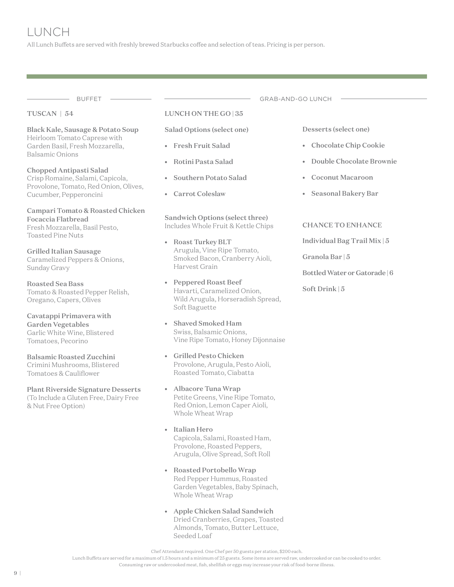All Lunch Buffets are served with freshly brewed Starbucks coffee and selection of teas. Pricing is per person.

BUFFET —————————————————————————GRAB-AND-GO LUNCH

#### TUSCAN | 54

#### Black Kale, Sausage & Potato Soup Heirloom Tomato Caprese with Garden Basil, Fresh Mozzarella, Balsamic Onions

Chopped Antipasti Salad Crisp Romaine, Salami, Capicola, Provolone, Tomato, Red Onion, Olives, Cucumber, Pepperoncini

Campari Tomato & Roasted Chicken Focaccia Flatbread Fresh Mozzarella, Basil Pesto, Toasted Pine Nuts

Grilled Italian Sausage Caramelized Peppers & Onions, Sunday Gravy

Roasted Sea Bass Tomato & Roasted Pepper Relish, Oregano, Capers, Olives

Cavatappi Primavera with Garden Vegetables Garlic White Wine, Blistered Tomatoes, Pecorino

# Balsamic Roasted Zucchini

Crimini Mushrooms, Blistered Tomatoes & Cauliflower

Plant Riverside Signature Desserts (To Include a Gluten Free, Dairy Free & Nut Free Option)

#### LUNCH ON THE GO | 35

Salad Options (select one)

- Fresh Fruit Salad
- Rotini Pasta Salad
- Southern Potato Salad
- Carrot Coleslaw

Sandwich Options (select three) Includes Whole Fruit & Kettle Chips

- Roast Turkey BLT Arugula, Vine Ripe Tomato, Smoked Bacon, Cranberry Aioli, Harvest Grain
- Peppered Roast Beef Havarti, Caramelized Onion, Wild Arugula, Horseradish Spread, Soft Baguette
- Shaved Smoked Ham Swiss, Balsamic Onions, Vine Ripe Tomato, Honey Dijonnaise
- Grilled Pesto Chicken Provolone, Arugula, Pesto Aioli, Roasted Tomato, Ciabatta
- Albacore Tuna Wrap Petite Greens, Vine Ripe Tomato, Red Onion, Lemon Caper Aioli, Whole Wheat Wrap
- Italian Hero Capicola, Salami, Roasted Ham, Provolone, Roasted Peppers, Arugula, Olive Spread, Soft Roll
- Roasted Portobello Wrap Red Pepper Hummus, Roasted Garden Vegetables, Baby Spinach, Whole Wheat Wrap
- Apple Chicken Salad Sandwich Dried Cranberries, Grapes, Toasted Almonds, Tomato, Butter Lettuce, Seeded Loaf

Chef Attendant required. One Chef per 50 guests per station, \$200 each.

Lunch Buffets are served for a maximum of 1.5 hours and a minimum of 25 guests. Some items are served raw, undercooked or can be cooked to order.

Consuming raw or undercooked meat, fish, shellfish or eggs may increase your risk of food-borne illness.

Desserts (select one)

- Chocolate Chip Cookie
- Double Chocolate Brownie
- Coconut Macaroon
- Seasonal Bakery Bar

#### CHANCE TO ENHANCE

Individual Bag Trail Mix | 5

Granola Bar | 5

Bottled Water or Gatorade | 6

Soft Drink | 5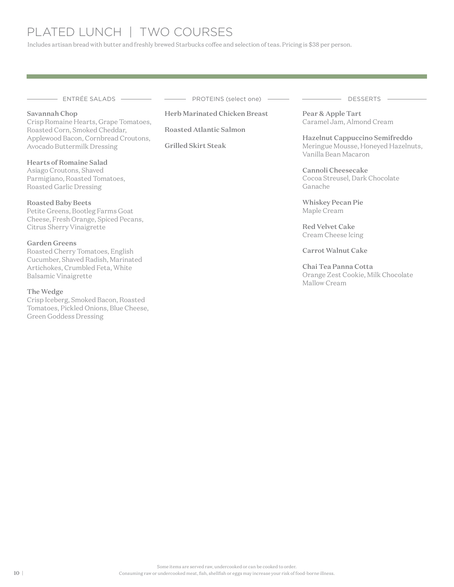# PLATED LUNCH | TWO COURSES

Includes artisan bread with butter and freshly brewed Starbucks coffee and selection of teas. Pricing is \$38 per person.

#### Savannah Chop

Crisp Romaine Hearts, Grape Tomatoes, Roasted Corn, Smoked Cheddar, Applewood Bacon, Cornbread Croutons, Avocado Buttermilk Dressing

#### Hearts of Romaine Salad

Asiago Croutons, Shaved Parmigiano, Roasted Tomatoes, Roasted Garlic Dressing

#### Roasted Baby Beets

Petite Greens, Bootleg Farms Goat Cheese, Fresh Orange, Spiced Pecans, Citrus Sherry Vinaigrette

#### Garden Greens

Roasted Cherry Tomatoes, English Cucumber, Shaved Radish, Marinated Artichokes, Crumbled Feta, White Balsamic Vinaigrette

#### The Wedge Crisp Iceberg, Smoked Bacon, Roasted Tomatoes, Pickled Onions, Blue Cheese, Green Goddess Dressing

— ENTRÉE SALADS ——————————————PROTEINS (select one) ———————————————DESSERTS —

### Herb Marinated Chicken Breast

Roasted Atlantic Salmon

Grilled Skirt Steak

Pear & Apple Tart Caramel Jam, Almond Cream

Hazelnut Cappuccino Semifreddo Meringue Mousse, Honeyed Hazelnuts, Vanilla Bean Macaron

Cannoli Cheesecake Cocoa Streusel, Dark Chocolate Ganache

Whiskey Pecan Pie Maple Cream

Red Velvet Cake Cream Cheese Icing

Carrot Walnut Cake

Chai Tea Panna Cotta Orange Zest Cookie, Milk Chocolate Mallow Cream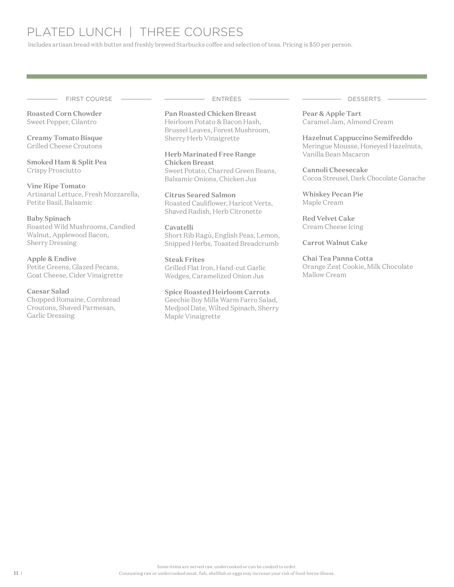# PLATED LUNCH | THREE COURSES

Includes artisan bread with butter and freshly brewed Starbucks coffee and selection of teas. Pricing is \$50 per person.

FIRST COURSE ENTRÉES DESSERTS

Roasted Corn Chowder Sweet Pepper, Cilantro

Creamy Tomato Bisque Grilled Cheese Croutons

Smoked Ham & Split Pea Crispy Prosciutto

Vine Ripe Tomato Artisanal Lettuce, Fresh Mozzarella, Petite Basil, Balsamic

#### Baby Spinach

Roasted Wild Mushrooms, Candied Walnut, Applewood Bacon, Sherry Dressing

#### Apple & Endive

Petite Greens, Glazed Pecans, Goat Cheese, Cider Vinaigrette

#### Caesar Salad

Chopped Romaine, Cornbread Croutons, Shaved Parmesan, Garlic Dressing

Pan Roasted Chicken Breast Heirloom Potato & Bacon Hash, Brussel Leaves, Forest Mushroom, Sherry Herb Vinaigrette

Herb Marinated Free Range Chicken Breast Sweet Potato, Charred Green Beans, Balsamic Onions, Chicken Jus

Citrus Seared Salmon Roasted Cauliflower, Haricot Verts, Shaved Radish, Herb Citronette

Cavatelli Short Rib Ragù, English Peas, Lemon, Snipped Herbs, Toasted Breadcrumb

Steak Frites Grilled Flat Iron, Hand-cut Garlic Wedges, Caramelized Onion Jus

#### Spice Roasted Heirloom Carrots

Geechie Boy Mills Warm Farro Salad, Medjool Date, Wilted Spinach, Sherry Maple Vinaigrette

Pear & Apple Tart Caramel Jam, Almond Cream

Hazelnut Cappuccino Semifreddo Meringue Mousse, Honeyed Hazelnuts, Vanilla Bean Macaron

Cannoli Cheesecake Cocoa Streusel, Dark Chocolate Ganache

Whiskey Pecan Pie Maple Cream

Red Velvet Cake Cream Cheese Icing

Carrot Walnut Cake

Chai Tea Panna Cotta Orange Zest Cookie, Milk Chocolate Mallow Cream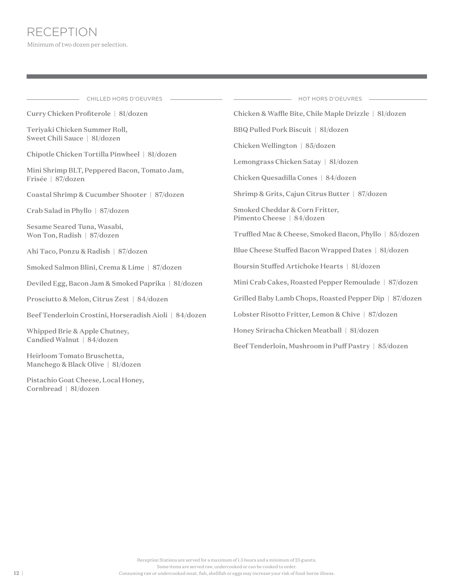Pistachio Goat Cheese, Local Honey,

Cornbread | 81/dozen

| CHILLED HORS D'OEUVRES                                            | HOT HORS D'OEUVRES                                                   |
|-------------------------------------------------------------------|----------------------------------------------------------------------|
| Curry Chicken Profiterole   81/dozen                              | Chicken & Waffle Bite, Chile Maple Drizzle   81/dozen                |
| Teriyaki Chicken Summer Roll,<br>Sweet Chili Sauce   81/dozen     | BBQ Pulled Pork Biscuit   81/dozen                                   |
| Chipotle Chicken Tortilla Pinwheel   81/dozen                     | Chicken Wellington   85/dozen<br>Lemongrass Chicken Satay   81/dozen |
| Mini Shrimp BLT, Peppered Bacon, Tomato Jam,<br>Frisée   87/dozen | Chicken Quesadilla Cones   84/dozen                                  |
| Coastal Shrimp & Cucumber Shooter   87/dozen                      | Shrimp & Grits, Cajun Citrus Butter   87/dozen                       |
| Crab Salad in Phyllo   87/dozen                                   | Smoked Cheddar & Corn Fritter,<br>Pimento Cheese   84/dozen          |
| Sesame Seared Tuna, Wasabi,<br>Won Ton, Radish   87/dozen         | Truffled Mac & Cheese, Smoked Bacon, Phyllo   85/dozen               |
| Ahi Taco, Ponzu & Radish   87/dozen                               | Blue Cheese Stuffed Bacon Wrapped Dates   81/dozen                   |
| Smoked Salmon Blini, Crema & Lime   87/dozen                      | Boursin Stuffed Artichoke Hearts   81/dozen                          |
| Deviled Egg, Bacon Jam & Smoked Paprika   81/dozen                | Mini Crab Cakes, Roasted Pepper Remoulade   87/dozen                 |
| Prosciutto & Melon, Citrus Zest   84/dozen                        | Grilled Baby Lamb Chops, Roasted Pepper Dip   87/dozen               |
| Beef Tenderloin Crostini, Horseradish Aioli   84/dozen            | Lobster Risotto Fritter, Lemon & Chive   87/dozen                    |
| Whipped Brie & Apple Chutney,<br>Candied Walnut   84/dozen        | Honey Sriracha Chicken Meatball   81/dozen                           |
|                                                                   | Beef Tenderloin, Mushroom in Puff Pastry   85/dozen                  |
| Heirloom Tomato Bruschetta,<br>Manchego & Black Olive   81/dozen  |                                                                      |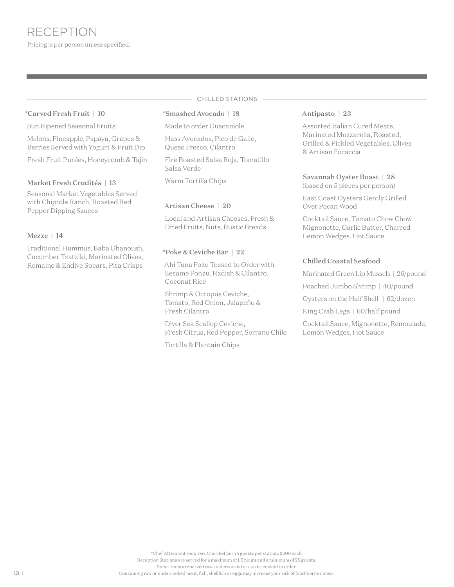#### \*Carved Fresh Fruit | 10

Sun Ripened Seasonal Fruits:

Melons, Pineapple, Papaya, Grapes & Berries Served with Yogurt & Fruit Dip

Fresh Fruit Purées, Honeycomb & Tajin

#### Market Fresh Crudités | 13

Seasonal Market Vegetables Served with Chipotle Ranch, Roasted Red Pepper Dipping Sauces

#### Mezze | 14

Traditional Hummus, Baba Ghanoush, Cucumber Tzatziki, Marinated Olives, Romaine & Endive Spears, Pita Crisps

# CHILLED STATIONS

#### \*Smashed Avocado | 18

Made to order Guacamole

Hass Avocados, Pico de Gallo, Queso Fresco, Cilantro

Fire Roasted Salsa Roja, Tomatillo Salsa Verde

Warm Tortilla Chips

#### Artisan Cheese | 20

Local and Artisan Cheeses, Fresh & Dried Fruits, Nuts, Rustic Breads

#### \*Poke & Ceviche Bar | 22

Ahi Tuna Poke Tossed to Order with Sesame Ponzu, Radish & Cilantro, Coconut Rice

Shrimp & Octopus Ceviche, Tomato, Red Onion, Jalapeño & Fresh Cilantro

Diver Sea Scallop Ceviche, Fresh Citrus, Red Pepper, Serrano Chile

Tortilla & Plantain Chips

#### Antipasto | 23

Assorted Italian Cured Meats, Marinated Mozzarella, Roasted, Grilled & Pickled Vegetables, Olives & Artisan Focaccia

# Savannah Oyster Roast | 28

(based on 5 pieces per person)

East Coast Oysters Gently Grilled Over Pecan Wood

Cocktail Sauce, Tomato Chow Chow Mignonette, Garlic Butter, Charred Lemon Wedges, Hot Sauce

#### Chilled Coastal Seafood

Marinated Green Lip Mussels | 26/pound

Poached Jumbo Shrimp | 40/pound

Oysters on the Half Shell | 62/dozen

King Crab Legs | 60/half pound

Cocktail Sauce, Mignonette, Remoulade, Lemon Wedges, Hot Sauce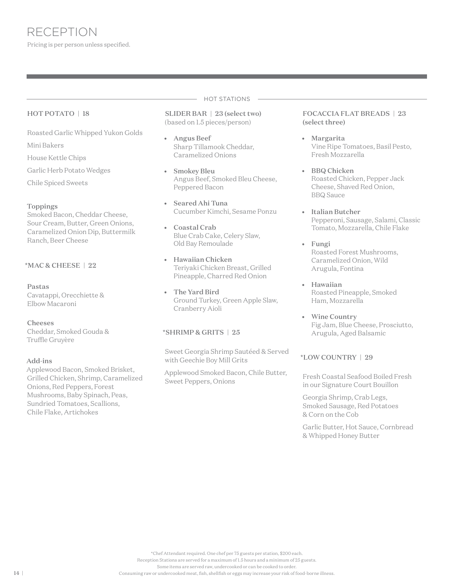#### HOT POTATO | 18

Roasted Garlic Whipped Yukon Golds

Mini Bakers

House Kettle Chips

Garlic Herb Potato Wedges

Chile Spiced Sweets

#### Toppings

Smoked Bacon, Cheddar Cheese, Sour Cream, Butter, Green Onions, Caramelized Onion Dip, Buttermilk Ranch, Beer Cheese

### \*MAC & CHEESE | 22

#### Pastas

Cavatappi, Orecchiette & Elbow Macaroni

#### Cheeses

Cheddar, Smoked Gouda & Truffle Gruyère

#### Add-ins

Applewood Bacon, Smoked Brisket, Grilled Chicken, Shrimp, Caramelized Onions, Red Peppers, Forest Mushrooms, Baby Spinach, Peas, Sundried Tomatoes, Scallions, Chile Flake, Artichokes

#### HOT STATIONS

SLIDER BAR | 23 (select two) (based on 1.5 pieces/person)

- Angus Beef Sharp Tillamook Cheddar, Caramelized Onions
- Smokey Bleu Angus Beef, Smoked Bleu Cheese, Peppered Bacon
- Seared Ahi Tuna Cucumber Kimchi, Sesame Ponzu
- Coastal Crab Blue Crab Cake, Celery Slaw, Old Bay Remoulade
- Hawaiian Chicken Teriyaki Chicken Breast, Grilled Pineapple, Charred Red Onion
- The Yard Bird Ground Turkey, Green Apple Slaw, Cranberry Aioli

#### \*SHRIMP & GRITS | 25

Sweet Georgia Shrimp Sautéed & Served with Geechie Boy Mill Grits

Applewood Smoked Bacon, Chile Butter, Sweet Peppers, Onions

#### FOCACCIA FLAT BREADS | 23 (select three)

- Margarita Vine Ripe Tomatoes, Basil Pesto, Fresh Mozzarella
- BBQ Chicken Roasted Chicken, Pepper Jack Cheese, Shaved Red Onion, BBQ Sauce
- Italian Butcher Pepperoni, Sausage, Salami, Classic Tomato, Mozzarella, Chile Flake
- Fungi Roasted Forest Mushrooms, Caramelized Onion, Wild Arugula, Fontina
- Hawaiian Roasted Pineapple, Smoked Ham, Mozzarella
- Wine Country Fig Jam, Blue Cheese, Prosciutto, Arugula, Aged Balsamic

### \*LOW COUNTRY | 29

Fresh Coastal Seafood Boiled Fresh in our Signature Court Bouillon

Georgia Shrimp, Crab Legs, Smoked Sausage, Red Potatoes & Corn on the Cob

Garlic Butter, Hot Sauce, Cornbread & Whipped Honey Butter

\*Chef Attendant required. One chef per 75 guests per station, \$200 each.

Reception Stations are served for a maximum of 1.5 hours and a minimum of 25 guests.

Some items are served raw, undercooked or can be cooked to order.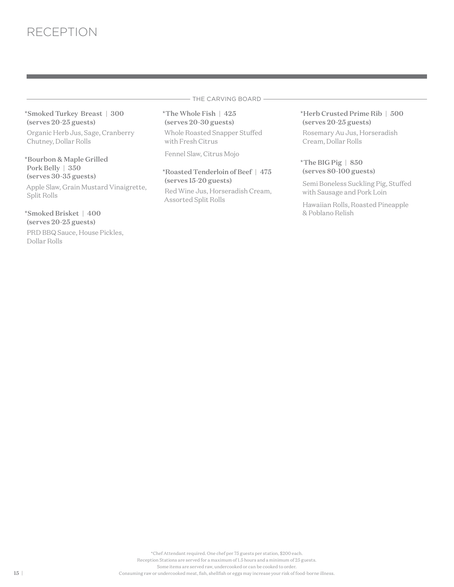\*Smoked Turkey Breast | 300 (serves 20-25 guests)

Organic Herb Jus, Sage, Cranberry Chutney, Dollar Rolls

\*Bourbon & Maple Grilled Pork Belly | 350 (serves 30-35 guests)

Apple Slaw, Grain Mustard Vinaigrette, Split Rolls

#### \*Smoked Brisket | 400 (serves 20-25 guests)

PRD BBQ Sauce, House Pickles, Dollar Rolls

- THE CARVING BOARD -

\*The Whole Fish | 425 (serves 20-30 guests)

Whole Roasted Snapper Stuffed with Fresh Citrus

Fennel Slaw, Citrus Mojo

# \*Roasted Tenderloin of Beef | 475 (serves 15-20 guests)

Red Wine Jus, Horseradish Cream, Assorted Split Rolls

#### \*Herb Crusted Prime Rib | 500 (serves 20-25 guests)

Rosemary Au Jus, Horseradish Cream, Dollar Rolls

#### \*The BIG Pig | 850 (serves 80-100 guests)

Semi Boneless Suckling Pig, Stuffed with Sausage and Pork Loin

Hawaiian Rolls, Roasted Pineapple & Poblano Relish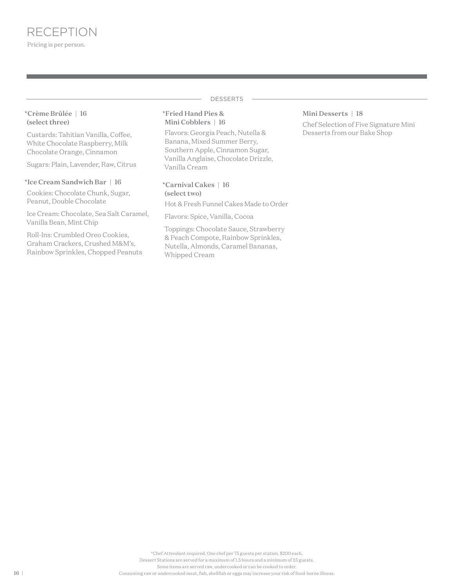#### DESSERTS

#### \*Crème Brûlée | 16 (select three)

Custards: Tahitian Vanilla, Coffee, White Chocolate Raspberry, Milk Chocolate Orange, Cinnamon

Sugars: Plain, Lavender, Raw, Citrus

#### \*Ice Cream Sandwich Bar | 16

Cookies: Chocolate Chunk, Sugar, Peanut, Double Chocolate

Ice Cream: Chocolate, Sea Salt Caramel, Vanilla Bean, Mint Chip

Roll-Ins: Crumbled Oreo Cookies, Graham Crackers, Crushed M&M's, Rainbow Sprinkles, Chopped Peanuts

#### \*Fried Hand Pies & Mini Cobblers | 16

Flavors: Georgia Peach, Nutella & Banana, Mixed Summer Berry, Southern Apple, Cinnamon Sugar, Vanilla Anglaise, Chocolate Drizzle, Vanilla Cream

#### \*Carnival Cakes | 16 (select two)

Hot & Fresh Funnel Cakes Made to Order

Flavors: Spice, Vanilla, Cocoa

Toppings: Chocolate Sauce, Strawberry & Peach Compote, Rainbow Sprinkles, Nutella, Almonds, Caramel Bananas, Whipped Cream

#### Mini Desserts | 18

Chef Selection of Five Signature Mini Desserts from our Bake Shop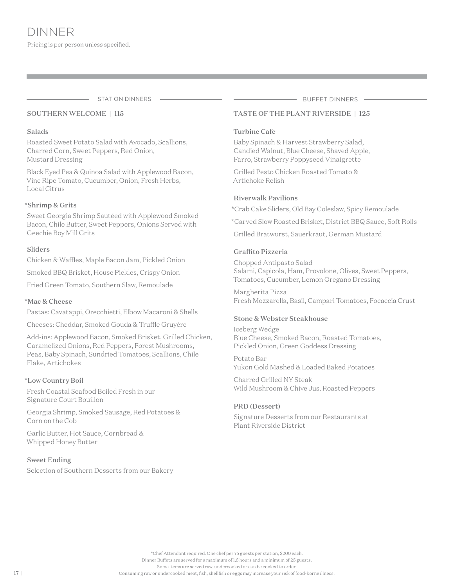#### SOUTHERN WELCOME | 115

#### Salads

Roasted Sweet Potato Salad with Avocado, Scallions, Charred Corn, Sweet Peppers, Red Onion, Mustard Dressing

Black Eyed Pea & Quinoa Salad with Applewood Bacon, Vine Ripe Tomato, Cucumber, Onion, Fresh Herbs, Local Citrus

#### \*Shrimp & Grits

Sweet Georgia Shrimp Sautéed with Applewood Smoked Bacon, Chile Butter, Sweet Peppers, Onions Served with Geechie Boy Mill Grits

#### Sliders

Chicken & Waffles, Maple Bacon Jam, Pickled Onion

Smoked BBQ Brisket, House Pickles, Crispy Onion

Fried Green Tomato, Southern Slaw, Remoulade

#### \*Mac & Cheese

Pastas: Cavatappi, Orecchietti, Elbow Macaroni & Shells

Cheeses: Cheddar, Smoked Gouda & Truffle Gruyère

Add-ins: Applewood Bacon, Smoked Brisket, Grilled Chicken, Caramelized Onions, Red Peppers, Forest Mushrooms, Peas, Baby Spinach, Sundried Tomatoes, Scallions, Chile Flake, Artichokes

#### \*Low Country Boil

Fresh Coastal Seafood Boiled Fresh in our Signature Court Bouillon

Georgia Shrimp, Smoked Sausage, Red Potatoes & Corn on the Cob

Garlic Butter, Hot Sauce, Cornbread & Whipped Honey Butter

#### Sweet Ending

Selection of Southern Desserts from our Bakery

STATION DINNERS  $\qquad \qquad \qquad$ 

### TASTE OF THE PLANT RIVERSIDE | 125

#### Turbine Cafe

Baby Spinach & Harvest Strawberry Salad, Candied Walnut, Blue Cheese, Shaved Apple, Farro, Strawberry Poppyseed Vinaigrette

Grilled Pesto Chicken Roasted Tomato & Artichoke Relish

#### Riverwalk Pavilions

\*Crab Cake Sliders, Old Bay Coleslaw, Spicy Remoulade

\*Carved Slow Roasted Brisket, District BBQ Sauce, Soft Rolls

Grilled Bratwurst, Sauerkraut, German Mustard

#### Graffito Pizzeria

Chopped Antipasto Salad Salami, Capicola, Ham, Provolone, Olives, Sweet Peppers, Tomatoes, Cucumber, Lemon Oregano Dressing

Margherita Pizza Fresh Mozzarella, Basil, Campari Tomatoes, Focaccia Crust

### Stone & Webster Steakhouse

Iceberg Wedge Blue Cheese, Smoked Bacon, Roasted Tomatoes, Pickled Onion, Green Goddess Dressing

Potato Bar Yukon Gold Mashed & Loaded Baked Potatoes

Charred Grilled NY Steak Wild Mushroom & Chive Jus, Roasted Peppers

#### PRD (Dessert)

Signature Desserts from our Restaurants at Plant Riverside District

Some items are served raw, undercooked or can be cooked to order.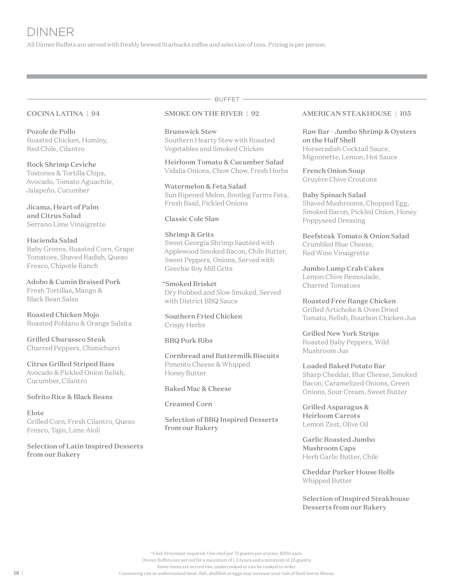All Dinner Buffets are served with freshly brewed Starbucks coffee and selection of teas. Pricing is per person.

#### COCINA LATINA | 94

Pozole de Pollo Roasted Chicken, Hominy, Red Chile, Cilantro

Rock Shrimp Ceviche Tostones & Tortilla Chips, Avocado, Tomato Aguachile, Jalapeño, Cucumber

Jicama, Heart of Palm and Citrus Salad Serrano Lime Vinaigrette

Hacienda Salad Baby Greens, Roasted Corn, Grape Tomatoes, Shaved Radish, Queso Fresco, Chipotle Ranch

Adobo & Cumin Braised Pork Fresh Tortillas, Mango & Black Bean Salsa

Roasted Chicken Mojo Roasted Poblano & Orange Salsita

Grilled Churassco Steak Charred Peppers, Chimichurri

Citrus Grilled Striped Bass Avocado & Pickled Onion Relish, Cucumber, Cilantro

#### Sofrito Rice & Black Beans

Elote Grilled Corn, Fresh Cilantro, Queso Fresco, Tajin, Lime Aioli

Selection of Latin Inspired Desserts from our Bakery

#### SMOKE ON THE RIVER | 92

Brunswick Stew Southern Hearty Stew with Roasted Vegetables and Smoked Chicken

 $-$  BUFFET  $-$ 

Heirloom Tomato & Cucumber Salad Vidalia Onions, Chow Chow, Fresh Herbs

Watermelon & Feta Salad Sun Ripened Melon, Bootleg Farms Feta, Fresh Basil, Pickled Onions

#### Classic Cole Slaw

#### Shrimp & Grits

Sweet Georgia Shrimp Sautéed with Applewood Smoked Bacon, Chile Butter, Sweet Peppers, Onions, Served with Geechie Boy Mill Grits

\*Smoked Brisket Dry Rubbed and Slow Smoked, Served with District BBQ Sauce

Southern Fried Chicken Crispy Herbs

#### BBQ Pork Ribs

Cornbread and Buttermilk Biscuits Pimento Cheese & Whipped Honey Butter

#### Baked Mac & Cheese

Creamed Corn

Selection of BBQ Inspired Desserts from our Bakery

#### AMERICAN STEAKHOUSE | 105

Raw Bar - Jumbo Shrimp & Oysters on the Half Shell Horseradish Cocktail Sauce, Mignonette, Lemon, Hot Sauce

French Onion Soup Gruyère Chive Croutons

Baby Spinach Salad Shaved Mushrooms, Chopped Egg, Smoked Bacon, Pickled Onion, Honey Poppyseed Dressing

Beefsteak Tomato & Onion Salad Crumbled Blue Cheese, Red Wine Vinaigrette

Jumbo Lump Crab Cakes Lemon Chive Remoulade, Charred Tomatoes

Roasted Free Range Chicken Grilled Artichoke & Oven Dried Tomato, Relish, Bourbon Chicken Jus

Grilled New York Strips Roasted Baby Peppers, Wild Mushroom Jus

Loaded Baked Potato Bar Sharp Cheddar, Blue Cheese, Smoked Bacon, Caramelized Onions, Green Onions, Sour Cream, Sweet Butter

Grilled Asparagus & Heirloom Carrots Lemon Zest, Olive Oil

Garlic Roasted Jumbo Mushroom Caps Herb Garlic Butter, Chile

Cheddar Parker House Rolls Whipped Butter

Selection of Inspired Steakhouse Desserts from our Bakery

\*Chef Attendant required. One chef per 75 guests per station, \$200 each.

Dinner Buffets are served for a maximum of 1.5 hours and a minimum of 25 guests.

Some items are served raw, undercooked or can be cooked to order.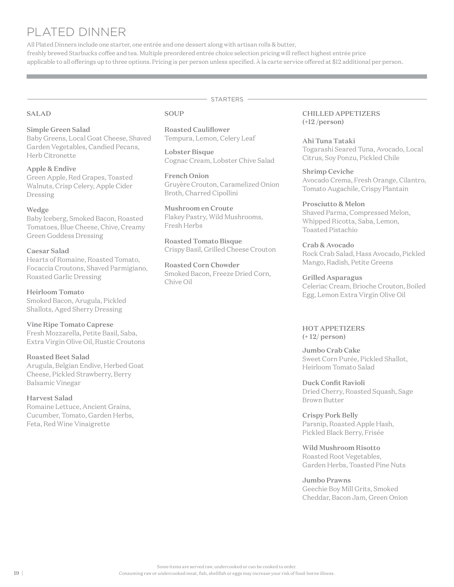# PLATED DINNER

All Plated Dinners include one starter, one entrée and one dessert along with artisan rolls & butter, freshly brewed Starbucks coffee and tea. Multiple preordered entrée choice selection pricing will reflect highest entrée price applicable to all offerings up to three options. Pricing is per person unless specified. À la carte service offered at \$12 additional per person.

- STARTERS -

#### SALAD

#### Simple Green Salad

Baby Greens, Local Goat Cheese, Shaved Garden Vegetables, Candied Pecans, Herb Citronette

Apple & Endive Green Apple, Red Grapes, Toasted Walnuts, Crisp Celery, Apple Cider Dressing

#### Wedge

Baby Iceberg, Smoked Bacon, Roasted Tomatoes, Blue Cheese, Chive, Creamy Green Goddess Dressing

#### Caesar Salad

Hearts of Romaine, Roasted Tomato, Focaccia Croutons, Shaved Parmigiano, Roasted Garlic Dressing

Heirloom Tomato Smoked Bacon, Arugula, Pickled Shallots, Aged Sherry Dressing

Vine Ripe Tomato Caprese Fresh Mozzarella, Petite Basil, Saba, Extra Virgin Olive Oil, Rustic Croutons

Roasted Beet Salad Arugula, Belgian Endive, Herbed Goat Cheese, Pickled Strawberry, Berry Balsamic Vinegar

Harvest Salad Romaine Lettuce, Ancient Grains, Cucumber, Tomato, Garden Herbs, Feta, Red Wine Vinaigrette

#### SOUP

Roasted Cauliflower Tempura, Lemon, Celery Leaf

Lobster Bisque Cognac Cream, Lobster Chive Salad

French Onion Gruyère Crouton, Caramelized Onion Broth, Charred Cipollini

Mushroom en Croute Flakey Pastry, Wild Mushrooms, Fresh Herbs

Roasted Tomato Bisque Crispy Basil, Grilled Cheese Crouton

Roasted Corn Chowder Smoked Bacon, Freeze Dried Corn, Chive Oil

#### CHILLED APPETIZERS (+12 /person)

Ahi Tuna Tataki Togarashi Seared Tuna, Avocado, Local Citrus, Soy Ponzu, Pickled Chile

Shrimp Ceviche Avocado Crema, Fresh Orange, Cilantro, Tomato Augachile, Crispy Plantain

Prosciutto & Melon Shaved Parma, Compressed Melon, Whipped Ricotta, Saba, Lemon, Toasted Pistachio

Crab & Avocado Rock Crab Salad, Hass Avocado, Pickled Mango, Radish, Petite Greens

Grilled Asparagus Celeriac Cream, Brioche Crouton, Boiled Egg, Lemon Extra Virgin Olive Oil

HOT APPETIZERS (+ 12/ person)

Jumbo Crab Cake Sweet Corn Purée, Pickled Shallot, Heirloom Tomato Salad

Duck Confit Ravioli Dried Cherry, Roasted Squash, Sage Brown Butter

Crispy Pork Belly Parsnip, Roasted Apple Hash, Pickled Black Berry, Frisée

Wild Mushroom Risotto Roasted Root Vegetables, Garden Herbs, Toasted Pine Nuts

Jumbo Prawns Geechie Boy Mill Grits, Smoked Cheddar, Bacon Jam, Green Onion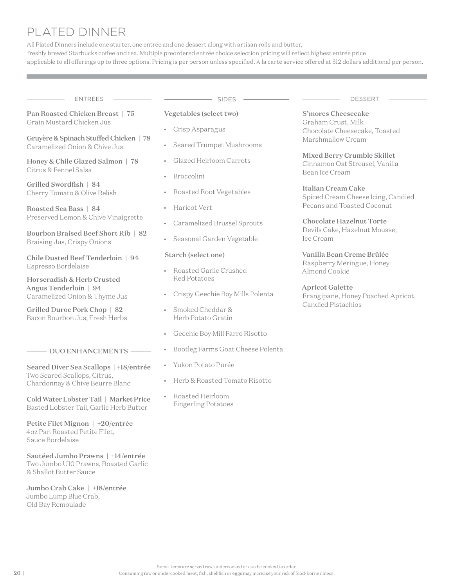# PLATED DINNER

All Plated Dinners include one starter, one entrée and one dessert along with artisan rolls and butter, freshly brewed Starbucks coffee and tea. Multiple preordered entrée choice selection pricing will reflect highest entrée price applicable to all offerings up to three options. Pricing is per person unless specified. À la carte service offered at \$12 dollars additional per person.

Pan Roasted Chicken Breast | 75 Grain Mustard Chicken Jus

Gruyère & Spinach Stuffed Chicken | 78 Caramelized Onion & Chive Jus

Honey & Chile Glazed Salmon | 78 Citrus & Fennel Salsa

Grilled Swordfish | 84 Cherry Tomato & Olive Relish

Roasted Sea Bass | 84 Preserved Lemon & Chive Vinaigrette

Bourbon Braised Beef Short Rib | 82 Braising Jus, Crispy Onions

Chile Dusted Beef Tenderloin | 94 Espresso Bordelaise

Horseradish & Herb Crusted Angus Tenderloin | 94 Caramelized Onion & Thyme Jus

Grilled Duroc Pork Chop | 82 Bacon Bourbon Jus, Fresh Herbs

#### $-$  DUO ENHANCEMENTS  $-$

Seared Diver Sea Scallops | +18/entrée Two Seared Scallops, Citrus, Chardonnay & Chive Beurre Blanc

Cold Water Lobster Tail | Market Price Basted Lobster Tail, Garlic Herb Butter

Petite Filet Mignon | +20/entrée 4oz Pan Roasted Petite Filet, Sauce Bordelaise

Sautéed Jumbo Prawns | +14/entrée Two Jumbo U10 Prawns, Roasted Garlic & Shallot Butter Sauce

Jumbo Crab Cake | +18/entrée Jumbo Lump Blue Crab, Old Bay Remoulade

 $\tt$  ENTRÉES  $\overline{\phantom{a}}$  dessert  $\overline{\phantom{a}}$  dessert  $\overline{\phantom{a}}$  sides  $\overline{\phantom{a}}$  dessert  $\overline{\phantom{a}}$ 

#### Vegetables (select two)

- Crisp Asparagus
- Seared Trumpet Mushrooms
- Glazed Heirloom Carrots
- Broccolini
- Roasted Root Vegetables
- Haricot Vert
- Caramelized Brussel Sprouts
- Seasonal Garden Vegetable

#### Starch (select one)

- Roasted Garlic Crushed Red Potatoes
- Crispy Geechie Boy Mills Polenta
- Smoked Cheddar & Herb Potato Gratin
- Geechie Boy Mill Farro Risotto
- Bootleg Farms Goat Cheese Polenta
- Yukon Potato Purée
- Herb & Roasted Tomato Risotto
- Roasted Heirloom Fingerling Potatoes

S'mores Cheesecake Graham Crust, Milk Chocolate Cheesecake, Toasted Marshmallow Cream

Mixed Berry Crumble Skillet Cinnamon Oat Streusel, Vanilla Bean Ice Cream

#### Italian Cream Cake

Spiced Cream Cheese Icing, Candied Pecans and Toasted Coconut

Chocolate Hazelnut Torte Devils Cake, Hazelnut Mousse, Ice Cream

Vanilla Bean Creme Brûlée Raspberry Meringue, Honey Almond Cookie

#### Apricot Galette

Frangipane, Honey Poached Apricot, Candied Pistachios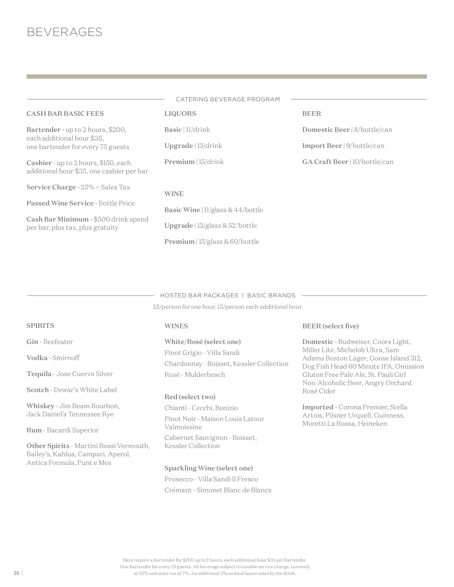|                                                                                   | CATERING BEVERAGE PROGRAM                  |                               |
|-----------------------------------------------------------------------------------|--------------------------------------------|-------------------------------|
|                                                                                   |                                            |                               |
| <b>CASH BAR BASIC FEES</b>                                                        | <b>LIQUORS</b>                             | <b>BEER</b>                   |
| Bartender - up to 2 hours, \$200,<br>each additional hour \$35,                   | Basic   11/drink                           | Domestic Beer   8/bottle/can  |
| one bartender for every 75 guests                                                 | $U$ pgrade   13/drink                      | Import Beer   9/bottle/can    |
| Cashier - up to 2 hours, \$150, each<br>additional hour \$35, one cashier per bar | Premium   15/drink                         | GA Craft Beer   10/bottle/can |
| Service Charge - 25% + Sales Tax                                                  | <b>WINE</b>                                |                               |
| Passed Wine Service - Bottle Price                                                | <b>Basic Wine</b> $ 1 $ /glass & 44/bottle |                               |
| Cash Bar Minimum - \$500 drink spend<br>per bar, plus tax, plus gratuity          | Upgrade   $13$ /glass & $52$ /bottle       |                               |
|                                                                                   | <b>Premium</b> $ 15/g$ ass & 60/bottle     |                               |

#### HOSTED BAR PACKAGES | BASIC BRANDS

25/person for one hour, 15/person each additional hour

#### WINES

### White/Rosé (select one)

Pinot Grigio - Villa Sandi Chardonnay - Boisset, Kessler Collection Rosé - Mulderbosch

#### Red (select two)

Chianti - Cecchi, Bonizio Pinot Noir - Maison Louis Latour Valmoissine Cabernet Sauvignon - Boisset,

Kessler Collection

#### Sparkling Wine (select one)

Prosecco - Villa Sandi Il Fresco Crémant - Simonet Blanc de Blancs

#### BEER (select five)

Domestic - Budweiser, Coors Light, Miller Lite, Michelob Ultra, Sam Adams Boston Lager, Goose Island 312, Dog Fish Head 60 Minute IPA, Omission Gluten Free Pale Ale, St. Pauli Girl Non-Alcoholic Beer, Angry Orchard Rosé Cider

Imported - Corona Premier, Stella Artois, Pilsner Urquell, Guinness, Moretti La Rossa, Heineken

Gin - Beefeater

Vodka - Smirnoff

Tequila - Jose Cuervo Silver

Scotch - Dewar's White Label

Whiskey - Jim Beam Bourbon, Jack Daniel's Tennessee Rye

Rum - Bacardi Superior

Other Spirits - Martini Rossi Vermouth, Bailey's, Kahlua, Campari, Aperol, Antica Formula, Punt e Mes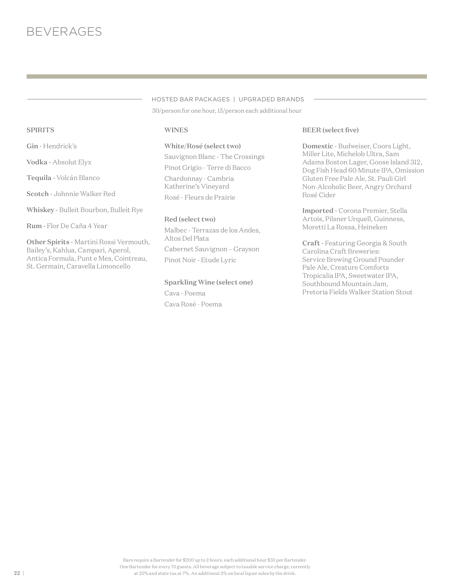# HOSTED BAR PACKAGES | UPGRADED BRANDS

30/person for one hour, 15/person each additional hour

**WINES** 

White/Rosé (select two) Sauvignon Blanc - The Crossings Pinot Grigio - Terre di Bacco Chardonnay - Cambria Katherine's Vineyard Rosé - Fleurs de Prairie

#### Red (select two)

Malbec - Terrazas de los Andes, Altos Del Plata Cabernet Sauvignon – Grayson Pinot Noir - Etude Lyric

Sparkling Wine (select one) Cava - Poema Cava Rosé - Poema

#### BEER (select five)

Domestic - Budweiser, Coors Light, Miller Lite, Michelob Ultra, Sam Adams Boston Lager, Goose Island 312, Dog Fish Head 60 Minute IPA, Omission Gluten Free Pale Ale, St. Pauli Girl Non-Alcoholic Beer, Angry Orchard Rosé Cider

Imported - Corona Premier, Stella Artois, Pilsner Urquell, Guinness, Moretti La Rossa, Heineken

Craft - Featuring Georgia & South Carolina Craft Breweries: Service Brewing Ground Pounder Pale Ale, Creature Comforts Tropicalia IPA, Sweetwater IPA, Southbound Mountain Jam, Pretoria Fields Walker Station Stout

#### Bars require a Bartender for \$200 up to 2 hours, each additional hour \$35 per Bartender. One Bartender for every 75 guests. All beverage subject to taxable service charge, currently at 25% and state tax at 7%. An additional 3% on local liquor sales by the drink.

# SPIRITS

Gin - Hendrick's

Vodka - Absolut Elyx

Tequila - Volcán Blanco

Scotch - Johnnie Walker Red

Whiskey - Bulleit Bourbon, Bulleit Rye

Rum - Flor De Caña 4 Year

Other Spirits - Martini Rossi Vermouth, Bailey's, Kahlua, Campari, Aperol, Antica Formula, Punt e Mes, Cointreau, St. Germain, Caravella Limoncello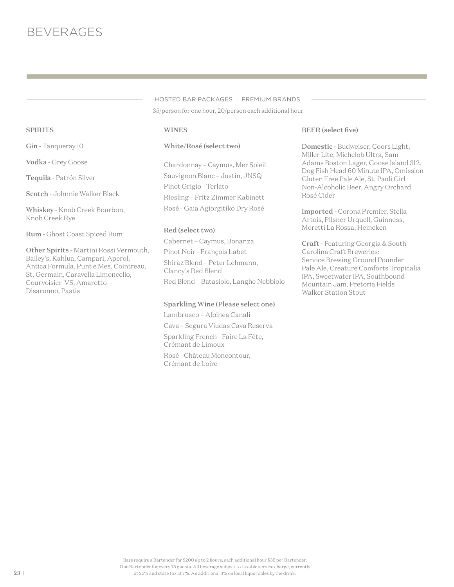35/person for one hour, 20/person each additional hour HOSTED BAR PACKAGES | PREMIUM BRANDS

#### WINES

#### White/Rosé (select two)

Chardonnay – Caymus, Mer Soleil Sauvignon Blanc – Justin, JNSQ Pinot Grigio - Terlato Riesling – Fritz Zimmer Kabinett Rosé - Gaia Agiorgitiko Dry Rosé

#### Red (select two)

Cabernet – Caymus, Bonanza Pinot Noir - François Labet Shiraz Blend – Peter Lehmann, Clancy's Red Blend Red Blend – Batasiolo, Langhe Nebbiolo

#### Sparkling Wine (Please select one)

Lambrusco – Albinea Canali Cava – Segura Viudas Cava Reserva Sparkling French - Faire La Fête, Crémant de Limoux Rosé - Château Moncontour, Crémant de Loire

#### BEER (select five)

Domestic - Budweiser, Coors Light, Miller Lite, Michelob Ultra, Sam Adams Boston Lager, Goose Island 312, Dog Fish Head 60 Minute IPA, Omission Gluten Free Pale Ale, St. Pauli Girl Non-Alcoholic Beer, Angry Orchard Rosé Cider

Imported - Corona Premier, Stella Artois, Pilsner Urquell, Guinness, Moretti La Rossa, Heineken

Craft - Featuring Georgia & South Carolina Craft Breweries: Service Brewing Ground Pounder Pale Ale, Creature Comforts Tropicalia IPA, Sweetwater IPA, Southbound Mountain Jam, Pretoria Fields Walker Station Stout

#### SPIRITS

Gin - Tanqueray 10

Vodka - Grey Goose

Tequila - Patrón Silver

Scotch - Johnnie Walker Black

Whiskey - Knob Creek Bourbon, Knob Creek Rye

Rum - Ghost Coast Spiced Rum

Other Spirits - Martini Rossi Vermouth, Bailey's, Kahlua, Campari, Aperol, Antica Formula, Punt e Mes, Cointreau, St. Germain, Caravella Limoncello, Courvoisier VS, Amaretto Disaronno, Pastis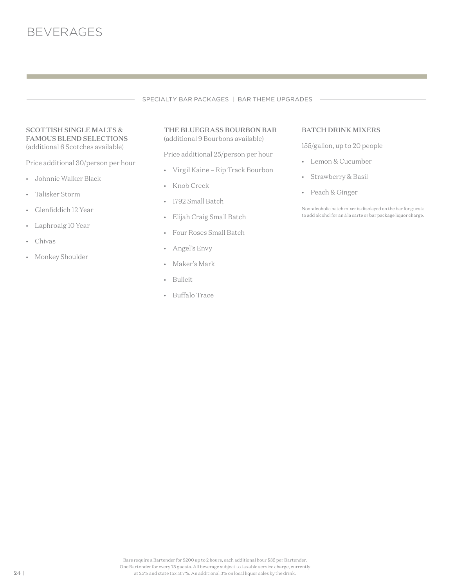

#### SPECIALTY BAR PACKAGES | BAR THEME UPGRADES

#### SCOTTISH SINGLE MALTS & FAMOUS BLEND SELECTIONS (additional 6 Scotches available)

Price additional 30/person per hour

- Johnnie Walker Black
- Talisker Storm
- Glenfiddich 12 Year
- Laphroaig 10 Year
- Chivas
- Monkey Shoulder

#### THE BLUEGRASS BOURBON BAR (additional 9 Bourbons available)

Price additional 25/person per hour

- Virgil Kaine Rip Track Bourbon
- Knob Creek
- 1792 Small Batch
- Elijah Craig Small Batch
- Four Roses Small Batch
- Angel's Envy
- Maker's Mark
- Bulleit
- Buffalo Trace

#### BATCH DRINK MIXERS

155/gallon, up to 20 people

- Lemon & Cucumber
- Strawberry & Basil
- Peach & Ginger

Non-alcoholic batch mixer is displayed on the bar for guests to add alcohol for an à la carte or bar package liquor charge.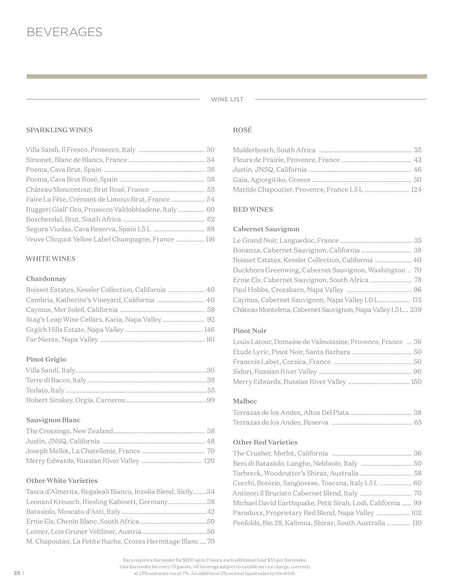#### WINE LIST

÷.

#### SPARKLING WINES

| Faire La Fête, Crémant de Limoux Brut, France  54     |  |
|-------------------------------------------------------|--|
| Ruggeri Giall' Oro, Prosecco Valdobbiadene, Italy  60 |  |
|                                                       |  |
|                                                       |  |
| Veuve Clicquot Yellow Label Champagne, France  116    |  |

# WHITE WINES

### Chardonnay

| Boisset Estates, Kessler Collection, California  40 |  |
|-----------------------------------------------------|--|
| Cambria, Katherine's Vineyard, California  40       |  |
|                                                     |  |
| Stag's Leap Wine Cellars, Karia, Napa Valley  92    |  |
|                                                     |  |
|                                                     |  |

# Pinot Grigio

### Sauvignon Blanc

#### Other White Varieties

| Tasca d'Almerita, Regaleali Bianco, Inzolia Blend, Sicily34 |  |
|-------------------------------------------------------------|--|
| Leonard Kreusch, Riesling Kabinett, Germany38               |  |
|                                                             |  |
|                                                             |  |
|                                                             |  |
| M. Chapoutier, La Petite Ruche, Crozes Hermitage Blanc 70   |  |

#### ROSÉ

| Matilde Chapoutier, Provence, France 1.5 L  124 |  |
|-------------------------------------------------|--|

#### RED WINES

#### Cabernet Sauvignon

| Bonanza, Cabernet Sauvignon, California  38                  |  |
|--------------------------------------------------------------|--|
| Boisset Estates, Kessler Collection, California  40          |  |
| Duckhorn Greenwing, Cabernet Sauvignon, Washington  70       |  |
|                                                              |  |
|                                                              |  |
| Caymus, Cabernet Sauvignon, Napa Valley 1.0 L 175            |  |
| Château Montelena, Cabernet Sauvignon, Napa Valley I.5 L 239 |  |

# Pinot Noir

| Louis Latour, Domaine de Valmoissine, Provence, France  36 |  |
|------------------------------------------------------------|--|
|                                                            |  |
|                                                            |  |
|                                                            |  |
|                                                            |  |

#### Malbec

#### Other Red Varieties

| Michael David Earthquake, Petit Sirah, Lodi, California  99 |  |
|-------------------------------------------------------------|--|
| Paraduxx, Proprietary Red Blend, Napa Valley  102           |  |
| Penfolds, Bin 28, Kalimna, Shiraz, South Australia  110     |  |

Bars require a Bartender for \$200 up to 2 hours, each additional hour \$35 per Bartender. One Bartender for every 75 guests. All beverage subject to taxable service charge, currently at 25% and state tax at 7%. An additional 3% on local liquor sales by the drink.